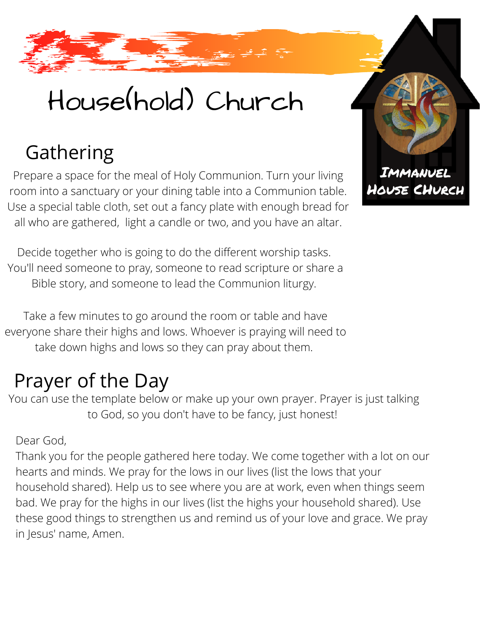## House(hold) Church

### Gathering

Prepare a space for the meal of Holy Communion. Turn your living room into a sanctuary or your dining table into a Communion table. Use a special table cloth, set out a fancy plate with enough bread for all who are gathered, light a candle or two, and you have an altar.

Decide together who is going to do the different worship tasks. You'll need someone to pray, someone to read scripture or share a Bible story, and someone to lead the Communion liturgy.

Take a few minutes to go around the room or table and have everyone share their highs and lows. Whoever is praying will need to take down highs and lows so they can pray about them.

### Prayer of the Day

You can use the template below or make up your own prayer. Prayer is just talking to God, so you don't have to be fancy, just honest!

#### Dear God,

Thank you for the people gathered here today. We come together with a lot on our hearts and minds. We pray for the lows in our lives (list the lows that your household shared). Help us to see where you are at work, even when things seem bad. We pray for the highs in our lives (list the highs your household shared). Use these good things to strengthen us and remind us of your love and grace. We pray in Jesus' name, Amen.

IMMANUEL HOUSE CHURCH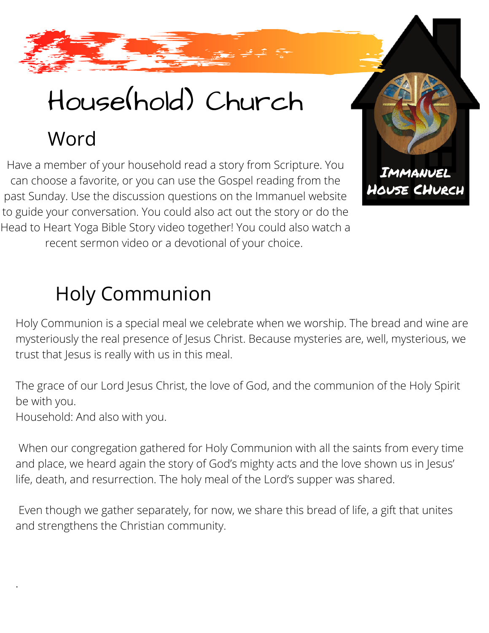# House(hold) Church

Word

Have a member of your household read a story from Scripture. You can choose a favorite, or you can use the Gospel reading from the past Sunday. Use the discussion questions on the Immanuel website to guide your conversation. You could also act out the story or do the Head to Heart Yoga Bible Story video together! You could also watch a recent sermon video or a devotional of your choice.

### Holy Communion

Holy Communion is a special meal we celebrate when we worship. The bread and wine are mysteriously the real presence of Jesus Christ. Because mysteries are, well, mysterious, we trust that Jesus is really with us in this meal.

IMMANUEL HOUSE CHURCH

The grace of our Lord Jesus Christ, the love of God, and the communion of the Holy Spirit be with you.

Household: And also with you.

.

When our congregation gathered for Holy Communion with all the saints from every time and place, we heard again the story of God's mighty acts and the love shown us in Jesus' life, death, and resurrection. The holy meal of the Lord's supper was shared.

Even though we gather separately, for now, we share this bread of life, a gift that unites and strengthens the Christian community.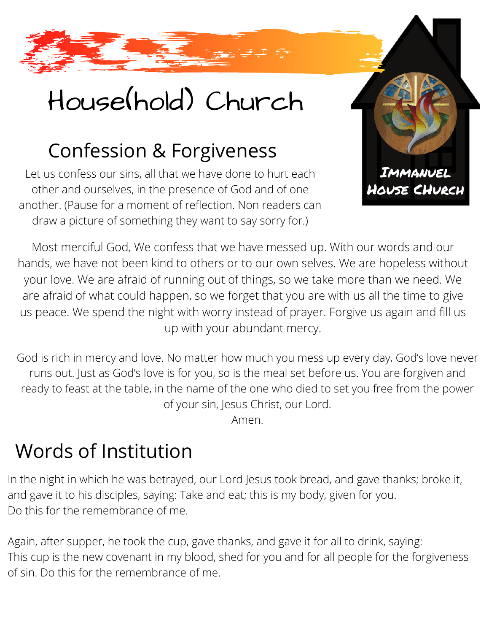## House(hold) Church

### Confession & Forgiveness

Let us confess our sins, all that we have done to hurt each other and ourselves, in the presence of God and of one another. (Pause for a moment of reflection. Non readers can draw a picture of something they want to say sorry for.)



Most merciful God, We confess that we have messed up. With our words and our hands, we have not been kind to others or to our own selves. We are hopeless without your love. We are afraid of running out of things, so we take more than we need. We are afraid of what could happen, so we forget that you are with us all the time to give us peace. We spend the night with worry instead of prayer. Forgive us again and fill us up with your abundant mercy.

God is rich in mercy and love. No matter how much you mess up every day, God's love never runs out. Just as God's love is for you, so is the meal set before us. You are forgiven and ready to feast at the table, in the name of the one who died to set you free from the power of your sin, Jesus Christ, our Lord.

Amen.

### Words of Institution

In the night in which he was betrayed, our Lord Jesus took bread, and gave thanks; broke it, and gave it to his disciples, saying: Take and eat; this is my body, given for you. Do this for the remembrance of me.

Again, after supper, he took the cup, gave thanks, and gave it for all to drink, saying: This cup is the new covenant in my blood, shed for you and for all people for the forgiveness of sin. Do this for the remembrance of me.